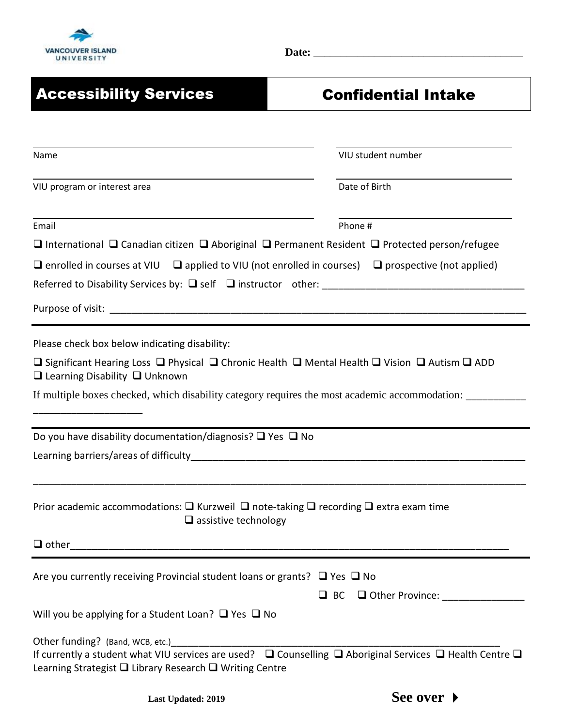

**Date:** \_\_\_\_\_\_\_\_\_\_\_\_\_\_\_\_\_\_\_\_\_\_\_\_\_\_\_\_\_\_\_\_\_\_\_\_\_\_

| <b>Accessibility Services</b>                                                                                                                                                                                                           | <b>Confidential Intake</b>       |
|-----------------------------------------------------------------------------------------------------------------------------------------------------------------------------------------------------------------------------------------|----------------------------------|
|                                                                                                                                                                                                                                         |                                  |
| Name                                                                                                                                                                                                                                    | VIU student number               |
| VIU program or interest area                                                                                                                                                                                                            | Date of Birth                    |
| Email                                                                                                                                                                                                                                   | Phone #                          |
| □ International □ Canadian citizen □ Aboriginal □ Permanent Resident □ Protected person/refugee                                                                                                                                         |                                  |
| $\Box$ enrolled in courses at VIU $\Box$ applied to VIU (not enrolled in courses) $\Box$ prospective (not applied)                                                                                                                      |                                  |
|                                                                                                                                                                                                                                         |                                  |
|                                                                                                                                                                                                                                         |                                  |
| Please check box below indicating disability:                                                                                                                                                                                           |                                  |
| <b>□</b> Significant Hearing Loss □ Physical □ Chronic Health □ Mental Health □ Vision □ Autism □ ADD<br>$\Box$ Learning Disability $\Box$ Unknown                                                                                      |                                  |
| If multiple boxes checked, which disability category requires the most academic accommodation: _______                                                                                                                                  |                                  |
| Do you have disability documentation/diagnosis? $\square$ Yes $\square$ No                                                                                                                                                              |                                  |
|                                                                                                                                                                                                                                         |                                  |
| Prior academic accommodations: $\square$ Kurzweil $\square$ note-taking $\square$ recording $\square$ extra exam time<br>$\square$ assistive technology                                                                                 |                                  |
|                                                                                                                                                                                                                                         |                                  |
| Are you currently receiving Provincial student loans or grants? $\Box$ Yes $\Box$ No                                                                                                                                                    |                                  |
| Will you be applying for a Student Loan? $\Box$ Yes $\Box$ No                                                                                                                                                                           | $\Box$ BC $\Box$ Other Province: |
| Other funding? (Band, WCB, etc.)<br>If currently a student what VIU services are used? $\square$ Counselling $\square$ Aboriginal Services $\square$ Health Centre $\square$<br>Learning Strategist □ Library Research □ Writing Centre |                                  |